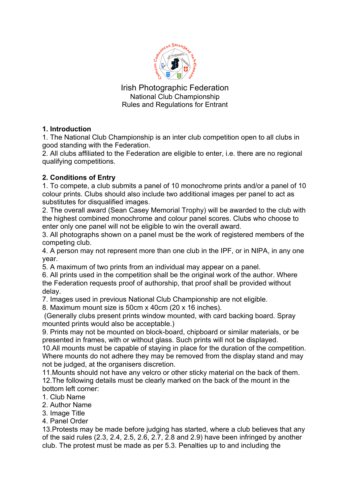

Irish Photographic Federation National Club Championship Rules and Regulations for Entrant

# **1. Introduction**

1. The National Club Championship is an inter club competition open to all clubs in good standing with the Federation.

2. All clubs affiliated to the Federation are eligible to enter, i.e. there are no regional qualifying competitions.

# **2. Conditions of Entry**

1. To compete, a club submits a panel of 10 monochrome prints and/or a panel of 10 colour prints. Clubs should also include two additional images per panel to act as substitutes for disqualified images.

2. The overall award (Sean Casey Memorial Trophy) will be awarded to the club with the highest combined monochrome and colour panel scores. Clubs who choose to enter only one panel will not be eligible to win the overall award.

3. All photographs shown on a panel must be the work of registered members of the competing club.

4. A person may not represent more than one club in the IPF, or in NIPA, in any one year.

5. A maximum of two prints from an individual may appear on a panel.

6. All prints used in the competition shall be the original work of the author. Where the Federation requests proof of authorship, that proof shall be provided without delay.

7. Images used in previous National Club Championship are not eligible.

8. Maximum mount size is 50cm x 40cm (20 x 16 inches).

(Generally clubs present prints window mounted, with card backing board. Spray mounted prints would also be acceptable.)

9. Prints may not be mounted on block-board, chipboard or similar materials, or be presented in frames, with or without glass. Such prints will not be displayed.

10.All mounts must be capable of staying in place for the duration of the competition. Where mounts do not adhere they may be removed from the display stand and may not be judged, at the organisers discretion.

11.Mounts should not have any velcro or other sticky material on the back of them. 12.The following details must be clearly marked on the back of the mount in the bottom left corner:

- 1. Club Name
- 2. Author Name
- 3. Image Title
- 4. Panel Order

13.Protests may be made before judging has started, where a club believes that any of the said rules (2.3, 2.4, 2.5, 2.6, 2.7, 2.8 and 2.9) have been infringed by another club. The protest must be made as per 5.3. Penalties up to and including the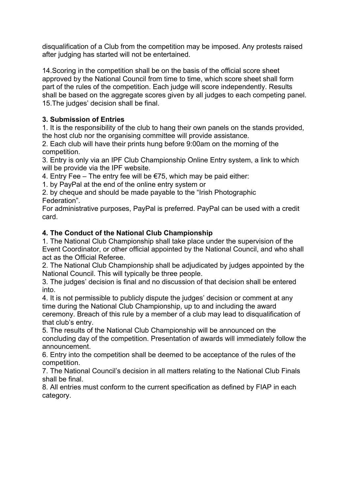disqualification of a Club from the competition may be imposed. Any protests raised after judging has started will not be entertained.

14.Scoring in the competition shall be on the basis of the official score sheet approved by the National Council from time to time, which score sheet shall form part of the rules of the competition. Each judge will score independently. Results shall be based on the aggregate scores given by all judges to each competing panel. 15.The judges' decision shall be final.

## **3. Submission of Entries**

1. It is the responsibility of the club to hang their own panels on the stands provided, the host club nor the organising committee will provide assistance.

2. Each club will have their prints hung before 9:00am on the morning of the competition.

3. Entry is only via an IPF Club Championship Online Entry system, a link to which will be provide via the IPF website.

4. Entry Fee – The entry fee will be  $E$ 75, which may be paid either:

1. by PayPal at the end of the online entry system or

2. by cheque and should be made payable to the "Irish Photographic Federation".

For administrative purposes, PayPal is preferred. PayPal can be used with a credit card.

## **4. The Conduct of the National Club Championship**

1. The National Club Championship shall take place under the supervision of the Event Coordinator, or other official appointed by the National Council, and who shall act as the Official Referee.

2. The National Club Championship shall be adjudicated by judges appointed by the National Council. This will typically be three people.

3. The judges' decision is final and no discussion of that decision shall be entered into.

4. It is not permissible to publicly dispute the judges' decision or comment at any time during the National Club Championship, up to and including the award ceremony. Breach of this rule by a member of a club may lead to disqualification of that club's entry.

5. The results of the National Club Championship will be announced on the concluding day of the competition. Presentation of awards will immediately follow the announcement.

6. Entry into the competition shall be deemed to be acceptance of the rules of the competition.

7. The National Council's decision in all matters relating to the National Club Finals shall be final.

8. All entries must conform to the current specification as defined by FIAP in each category.